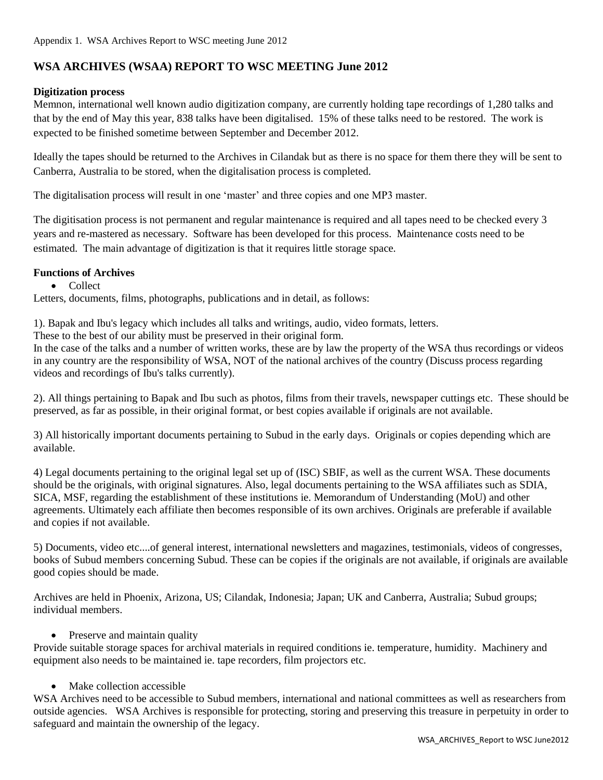# **WSA ARCHIVES (WSAA) REPORT TO WSC MEETING June 2012**

## **Digitization process**

Memnon, international well known audio digitization company, are currently holding tape recordings of 1,280 talks and that by the end of May this year, 838 talks have been digitalised. 15% of these talks need to be restored. The work is expected to be finished sometime between September and December 2012.

Ideally the tapes should be returned to the Archives in Cilandak but as there is no space for them there they will be sent to Canberra, Australia to be stored, when the digitalisation process is completed.

The digitalisation process will result in one 'master' and three copies and one MP3 master.

The digitisation process is not permanent and regular maintenance is required and all tapes need to be checked every 3 years and re-mastered as necessary. Software has been developed for this process. Maintenance costs need to be estimated. The main advantage of digitization is that it requires little storage space.

#### **Functions of Archives**

• Collect

Letters, documents, films, photographs, publications and in detail, as follows:

1). Bapak and Ibu's legacy which includes all talks and writings, audio, video formats, letters.

These to the best of our ability must be preserved in their original form.

In the case of the talks and a number of written works, these are by law the property of the WSA thus recordings or videos in any country are the responsibility of WSA, NOT of the national archives of the country (Discuss process regarding videos and recordings of Ibu's talks currently).

2). All things pertaining to Bapak and Ibu such as photos, films from their travels, newspaper cuttings etc. These should be preserved, as far as possible, in their original format, or best copies available if originals are not available.

3) All historically important documents pertaining to Subud in the early days. Originals or copies depending which are available.

4) Legal documents pertaining to the original legal set up of (ISC) SBIF, as well as the current WSA. These documents should be the originals, with original signatures. Also, legal documents pertaining to the WSA affiliates such as SDIA, SICA, MSF, regarding the establishment of these institutions ie. Memorandum of Understanding (MoU) and other agreements. Ultimately each affiliate then becomes responsible of its own archives. Originals are preferable if available and copies if not available.

5) Documents, video etc....of general interest, international newsletters and magazines, testimonials, videos of congresses, books of Subud members concerning Subud. These can be copies if the originals are not available, if originals are available good copies should be made.

Archives are held in Phoenix, Arizona, US; Cilandak, Indonesia; Japan; UK and Canberra, Australia; Subud groups; individual members.

## • Preserve and maintain quality

Provide suitable storage spaces for archival materials in required conditions ie. temperature, humidity. Machinery and equipment also needs to be maintained ie. tape recorders, film projectors etc.

## • Make collection accessible

WSA Archives need to be accessible to Subud members, international and national committees as well as researchers from outside agencies. WSA Archives is responsible for protecting, storing and preserving this treasure in perpetuity in order to safeguard and maintain the ownership of the legacy.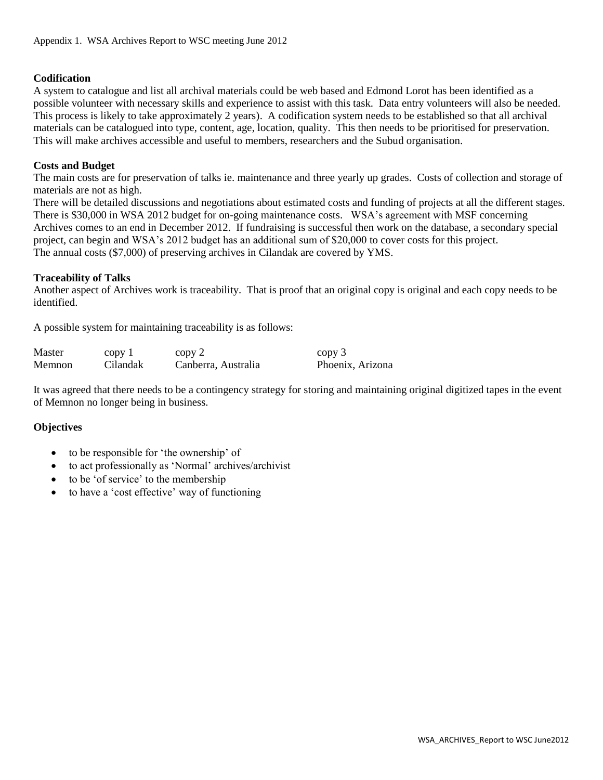# **Codification**

A system to catalogue and list all archival materials could be web based and Edmond Lorot has been identified as a possible volunteer with necessary skills and experience to assist with this task. Data entry volunteers will also be needed. This process is likely to take approximately 2 years). A codification system needs to be established so that all archival materials can be catalogued into type, content, age, location, quality. This then needs to be prioritised for preservation. This will make archives accessible and useful to members, researchers and the Subud organisation.

## **Costs and Budget**

The main costs are for preservation of talks ie. maintenance and three yearly up grades. Costs of collection and storage of materials are not as high.

There will be detailed discussions and negotiations about estimated costs and funding of projects at all the different stages. There is \$30,000 in WSA 2012 budget for on-going maintenance costs. WSA's agreement with MSF concerning Archives comes to an end in December 2012. If fundraising is successful then work on the database, a secondary special project, can begin and WSA's 2012 budget has an additional sum of \$20,000 to cover costs for this project. The annual costs (\$7,000) of preserving archives in Cilandak are covered by YMS.

## **Traceability of Talks**

Another aspect of Archives work is traceability. That is proof that an original copy is original and each copy needs to be identified.

A possible system for maintaining traceability is as follows:

| Master | copy 1   | copy 2              | copy 3           |
|--------|----------|---------------------|------------------|
| Memnon | Cilandak | Canberra, Australia | Phoenix, Arizona |

It was agreed that there needs to be a contingency strategy for storing and maintaining original digitized tapes in the event of Memnon no longer being in business.

## **Objectives**

- to be responsible for 'the ownership' of
- to act professionally as 'Normal' archives/archivist
- to be 'of service' to the membership
- to have a 'cost effective' way of functioning